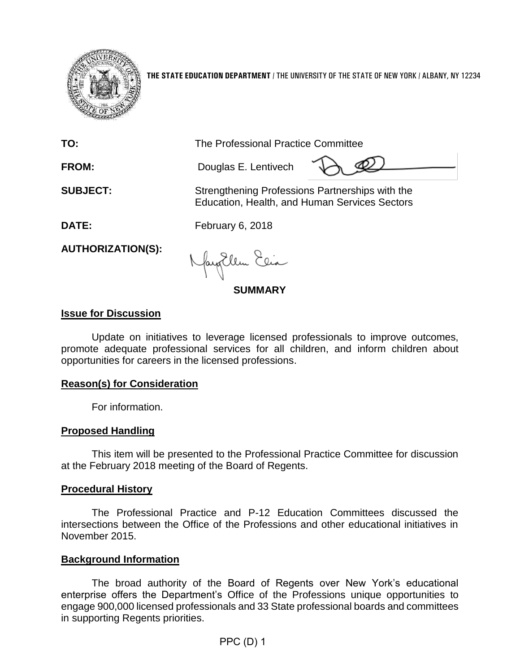

**THE STATE EDUCATION DEPARTMENT** / THE UNIVERSITY OF THE STATE OF NEW YORK / ALBANY, NY 12234

| TO:                      | The Professional Practice Committee                                                              |
|--------------------------|--------------------------------------------------------------------------------------------------|
| <b>FROM:</b>             | Douglas E. Lentivech                                                                             |
| <b>SUBJECT:</b>          | Strengthening Professions Partnerships with the<br>Education, Health, and Human Services Sectors |
| <b>DATE:</b>             | February 6, 2018                                                                                 |
| <b>AUTHORIZATION(S):</b> | Nayorllem Eeia                                                                                   |

**SUMMARY**

## **Issue for Discussion**

Update on initiatives to leverage licensed professionals to improve outcomes, promote adequate professional services for all children, and inform children about opportunities for careers in the licensed professions.

# **Reason(s) for Consideration**

For information.

### **Proposed Handling**

This item will be presented to the Professional Practice Committee for discussion at the February 2018 meeting of the Board of Regents.

### **Procedural History**

The Professional Practice and P-12 Education Committees discussed the intersections between the Office of the Professions and other educational initiatives in November 2015.

### **Background Information**

The broad authority of the Board of Regents over New York's educational enterprise offers the Department's Office of the Professions unique opportunities to engage 900,000 licensed professionals and 33 State professional boards and committees in supporting Regents priorities.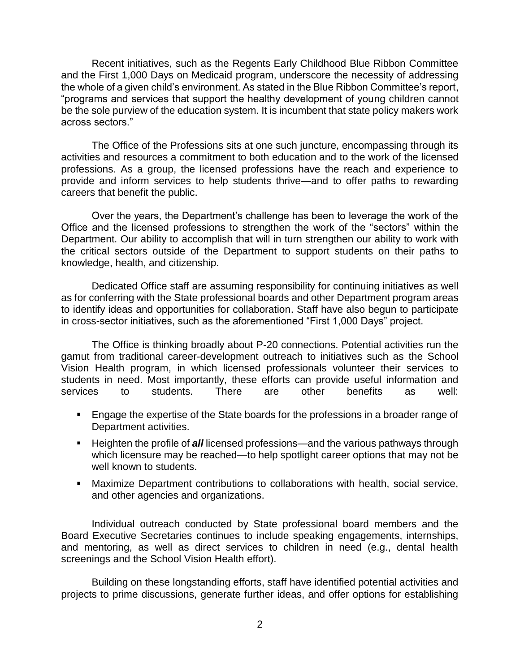Recent initiatives, such as the Regents Early Childhood Blue Ribbon Committee and the First 1,000 Days on Medicaid program, underscore the necessity of addressing the whole of a given child's environment. As stated in the Blue Ribbon Committee's report, "programs and services that support the healthy development of young children cannot be the sole purview of the education system. It is incumbent that state policy makers work across sectors."

The Office of the Professions sits at one such juncture, encompassing through its activities and resources a commitment to both education and to the work of the licensed professions. As a group, the licensed professions have the reach and experience to provide and inform services to help students thrive—and to offer paths to rewarding careers that benefit the public.

Over the years, the Department's challenge has been to leverage the work of the Office and the licensed professions to strengthen the work of the "sectors" within the Department. Our ability to accomplish that will in turn strengthen our ability to work with the critical sectors outside of the Department to support students on their paths to knowledge, health, and citizenship.

Dedicated Office staff are assuming responsibility for continuing initiatives as well as for conferring with the State professional boards and other Department program areas to identify ideas and opportunities for collaboration. Staff have also begun to participate in cross-sector initiatives, such as the aforementioned "First 1,000 Days" project.

The Office is thinking broadly about P-20 connections. Potential activities run the gamut from traditional career-development outreach to initiatives such as the School Vision Health program, in which licensed professionals volunteer their services to students in need. Most importantly, these efforts can provide useful information and services to students. There are other benefits as well:

- Engage the expertise of the State boards for the professions in a broader range of Department activities.
- Heighten the profile of *all* licensed professions—and the various pathways through which licensure may be reached—to help spotlight career options that may not be well known to students.
- **Maximize Department contributions to collaborations with health, social service,** and other agencies and organizations.

Individual outreach conducted by State professional board members and the Board Executive Secretaries continues to include speaking engagements, internships, and mentoring, as well as direct services to children in need (e.g., dental health screenings and the School Vision Health effort).

Building on these longstanding efforts, staff have identified potential activities and projects to prime discussions, generate further ideas, and offer options for establishing